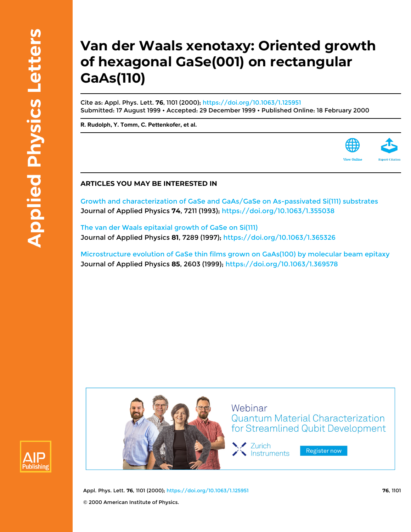## **Van der Waals xenotaxy: Oriented growth of hexagonal GaSe(001) on rectangular GaAs(110)**

Cite as: Appl. Phys. Lett. **76**, 1101 (2000);<https://doi.org/10.1063/1.125951> Submitted: 17 August 1999 • Accepted: 29 December 1999 • Published Online: 18 February 2000

**[R. Rudolph,](https://aip.scitation.org/author/Rudolph%2C+R) [Y. Tomm](https://aip.scitation.org/author/Tomm%2C+Y), [C. Pettenkofer,](https://aip.scitation.org/author/Pettenkofer%2C+C) et al.**



[Growth and characterization of GaSe and GaAs/GaSe on As-passivated Si\(111\) substrates](https://aip.scitation.org/doi/10.1063/1.355038) Journal of Applied Physics **74**, 7211 (1993); <https://doi.org/10.1063/1.355038>

[The van der Waals epitaxial growth of GaSe on Si\(111\)](https://aip.scitation.org/doi/10.1063/1.365326) Journal of Applied Physics **81**, 7289 (1997); <https://doi.org/10.1063/1.365326>

[Microstructure evolution of GaSe thin films grown on GaAs\(100\) by molecular beam epitaxy](https://aip.scitation.org/doi/10.1063/1.369578) Journal of Applied Physics **85**, 2603 (1999);<https://doi.org/10.1063/1.369578>





Webinar **Quantum Material Characterization** for Streamlined Qubit Development

Y Zurich Instruments

Register now

Appl. Phys. Lett. **76**, 1101 (2000);<https://doi.org/10.1063/1.125951> **76**, 1101 © 2000 American Institute of Physics.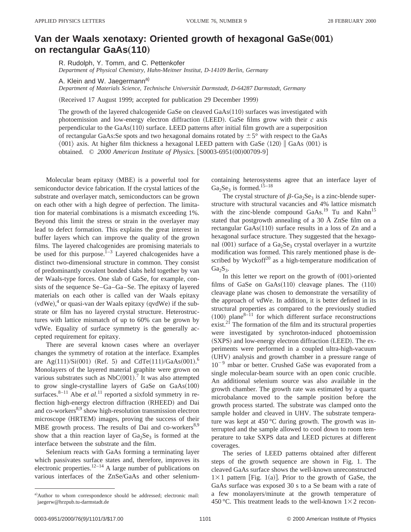## **Van der Waals xenotaxy: Oriented growth of hexagonal GaSe(001) on rectangular GaAs(110)**

R. Rudolph, Y. Tomm, and C. Pettenkofer *Department of Physical Chemistry, Hahn-Meitner Institut, D-14109 Berlin, Germany*

A. Klein and W. Jaegermann<sup>a)</sup>

*Department of Materials Science, Technische Universita¨t Darmstadt, D-64287 Darmstadt, Germany*

(Received 17 August 1999; accepted for publication 29 December 1999)

The growth of the layered chalcogenide GaSe on cleaved  $GaAs(110)$  surfaces was investigated with photoemission and low-energy electron diffraction (LEED). GaSe films grow with their  $c$  axis perpendicular to the  $GaAs(110)$  surface. LEED patterns after initial film growth are a superposition of rectangular GaAs:Se spots and two hexagonal domains rotated by  $\pm 5^{\circ}$  with respect to the GaAs  $\langle 001 \rangle$  axis. At higher film thickness a hexagonal LEED pattern with GaSe  $\langle 120 \rangle$  GaAs  $\langle 001 \rangle$  is obtained. © 2000 American Institute of Physics. [S0003-6951(00)00709-9]

Molecular beam epitaxy (MBE) is a powerful tool for semiconductor device fabrication. If the crystal lattices of the substrate and overlayer match, semiconductors can be grown on each other with a high degree of perfection. The limitation for material combinations is a mismatch exceeding 1%. Beyond this limit the stress or strain in the overlayer may lead to defect formation. This explains the great interest in buffer layers which can improve the quality of the grown films. The layered chalcogenides are promising materials to be used for this purpose. $1-3$  Layered chalcogenides have a distinct two-dimensional structure in common. They consist of predominantly covalent bonded slabs held together by van der Waals-type forces. One slab of GaSe, for example, consists of the sequence Se–Ga–Ga–Se. The epitaxy of layered materials on each other is called van der Waals epitaxy  $(vdWe),<sup>4</sup>$  or quasi-van der Waals epitaxy (qvdWe) if the substrate or film has no layered crystal structure. Heterostructures with lattice mismatch of up to 60% can be grown by vdWe. Equality of surface symmetry is the generally accepted requirement for epitaxy.

There are several known cases where an overlayer changes the symmetry of rotation at the interface. Examples are Ag $(111)/\text{Si}(001)$  (Ref. 5) and CdTe $(111)/\text{GaAs}(001)$ .<sup>6</sup> Monolayers of the layered material graphite were grown on various substrates such as  $NbC(001)$ .<sup>7</sup> It was also attempted to grow single-crystalline layers of GaSe on  $GaAs(100)$ surfaces. $8-11$  Abe *et al.*<sup>11</sup> reported a sixfold symmetry in reflection high-energy electron diffraction (RHEED) and Dai and co-workers $8.9$  show high-resolution transmission electron microscope (HRTEM) images, proving the success of their MBE growth process. The results of Dai and co-workers $8,9$ show that a thin reaction layer of  $Ga_2Se_3$  is formed at the interface between the substrate and the film.

Selenium reacts with GaAs forming a terminating layer which passivates surface states and, therefore, improves its electronic properties.<sup>12–14</sup> A large number of publications on various interfaces of the ZnSe/GaAs and other seleniumcontaining heterosystems agree that an interface layer of  $Ga<sub>2</sub>Se<sub>3</sub>$  is formed.<sup>15–18</sup>

The crystal structure of  $\beta$ -Ga<sub>2</sub>Se<sub>3</sub> is a zinc-blende superstructure with structural vacancies and 4% lattice mismatch with the zinc-blende compound  $GaAs.<sup>19</sup>$  Tu and  $Kahn<sup>15</sup>$ stated that postgrowth annealing of a 30 Å ZnSe film on a rectangular  $GaAs(110)$  surface results in a loss of Zn and a hexagonal surface structure. They suggested that the hexagonal  $(001)$  surface of a Ga<sub>2</sub>Se<sub>3</sub> crystal overlayer in a wurtzite modification was formed. This rarely mentioned phase is described by Wyckoff $20$  as a high-temperature modification of  $Ga<sub>2</sub>S<sub>3</sub>$ .

In this letter we report on the growth of  $(001)$ -oriented films of GaSe on  $GaAs(110)$  cleavage planes. The  $(110)$ cleavage plane was chosen to demonstrate the versatility of the approach of vdWe. In addition, it is better defined in its structural properties as compared to the previously studied  $(100)$  plane<sup>8–11</sup> for which different surface reconstructions exist.<sup>21</sup> The formation of the film and its structural properties were investigated by synchroton-induced photoemission (SXPS) and low-energy electron diffraction (LEED). The experiments were performed in a coupled ultra-high-vacuum (UHV) analysis and growth chamber in a pressure range of  $10^{-9}$  mbar or better. Crushed GaSe was evaporated from a single molecular-beam source with an open conic crucible. An additional selenium source was also available in the growth chamber. The growth rate was estimated by a quartz microbalance moved to the sample position before the growth process started. The substrate was clamped onto the sample holder and cleaved in UHV. The substrate temperature was kept at 450 °C during growth. The growth was interrupted and the sample allowed to cool down to room temperature to take SXPS data and LEED pictures at different coverages.

The series of LEED patterns obtained after different steps of the growth sequence are shown in Fig. 1. The cleaved GaAs surface shows the well-known unreconstructed  $1\times1$  pattern [Fig. 1(a)]. Prior to the growth of GaSe, the GaAs surface was exposed 30 s to a Se beam with a rate of a few monolayers/minute at the growth temperature of 450 °C. This treatment leads to the well-known  $1\times 2$  recon-

a)Author to whom correspondence should be addressed; electronic mail: jaegerw@hrzpub.tu-darmstadt.de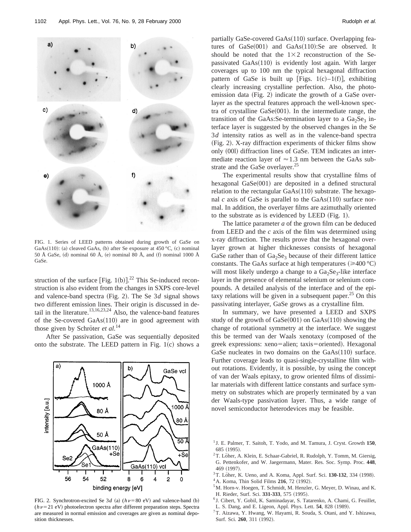

FIG. 1. Series of LEED patterns obtained during growth of GaSe on GaAs $(110)$ : (a) cleaved GaAs, (b) after Se exposure at 450 °C, (c) nominal 50 Å GaSe, (d) nominal 60 Å, (e) nominal 80 Å, and (f) nominal 1000 Å GaSe.

struction of the surface [Fig. 1(b)]. $^{22}$  This Se-induced reconstruction is also evident from the changes in SXPS core-level and valence-band spectra (Fig. 2). The Se  $3d$  signal shows two different emission lines. Their origin is discussed in detail in the literature.<sup>13,16,23,24</sup> Also, the valence-band features of the Se-covered  $GaAs(110)$  are in good agreement with those given by Schröter *et al.*<sup>14</sup>

After Se passivation, GaSe was sequentially deposited onto the substrate. The LEED pattern in Fig.  $1(c)$  shows a



FIG. 2. Synchrotron-excited Se  $3d$  (a)  $(h\nu=80 \text{ eV})$  and valence-band (b)  $(h\nu=21$  eV) photoelectron spectra after different preparation steps. Spectra are measured in normal emission and coverages are given as nominal deposition thicknesses.

partially GaSe-covered  $GaAs(110)$  surface. Overlapping features of  $GaSe(001)$  and  $GaAs(110):Se$  are observed. It should be noted that the  $1\times2$  reconstruction of the Sepassivated  $GaAs(110)$  is evidently lost again. With larger coverages up to 100 nm the typical hexagonal diffraction pattern of GaSe is built up [Figs. 1(c)–1(f)], exhibiting clearly increasing crystalline perfection. Also, the photoemission data (Fig. 2) indicate the growth of a GaSe overlayer as the spectral features approach the well-known spectra of crystalline  $GaSe(001)$ . In the intermediate range, the transition of the GaAs:Se-termination layer to a  $Ga<sub>2</sub>Se<sub>3</sub>$  interface layer is suggested by the observed changes in the Se 3*d* intensity ratios as well as in the valence-band spectra  $(Fig. 2)$ . X-ray diffraction experiments of thicker films show only (001) diffraction lines of GaSe. TEM indicates an intermediate reaction layer of  $\approx$  1.3 nm between the GaAs substrate and the GaSe overlayer.<sup>25</sup>

The experimental results show that crystalline films of hexagonal  $GaSe(001)$  are deposited in a defined structural relation to the rectangular  $GaAs(110)$  substrate. The hexagonal  $c$  axis of GaSe is parallel to the  $GaAs(110)$  surface normal. In addition, the overlayer films are azimuthally oriented to the substrate as is evidenced by LEED (Fig.  $1$ ).

The lattice parameter *a* of the grown film can be deduced from LEED and the *c* axis of the film was determined using x-ray diffraction. The results prove that the hexagonal overlayer grown at higher thicknesses consists of hexagonal GaSe rather than of  $Ga_2Se_3$  because of their different lattice constants. The GaAs surface at high temperatures  $(\geq 400 \degree C)$ will most likely undergo a change to a  $Ga<sub>2</sub>Se<sub>3</sub>$ -like interface layer in the presence of elemental selenium or selenium compounds. A detailed analysis of the interface and of the epitaxy relations will be given in a subsequent paper.<sup>25</sup> On this passivating interlayer, GaSe grows as a crystalline film.

In summary, we have presented a LEED and SXPS study of the growth of  $Gase(001)$  on  $GaAs(110)$  showing the change of rotational symmetry at the interface. We suggest this be termed van der Waals xenotaxy (composed of the greek expressions: xeno=alien; taxis=oriented). Hexagonal GaSe nucleates in two domains on the  $GaAs(110)$  surface. Further coverage leads to quasi-single-crystalline film without rotations. Evidently, it is possible, by using the concept of van der Waals epitaxy, to grow oriented films of dissimilar materials with different lattice constants and surface symmetry on substrates which are properly terminated by a van der Waals-type passivation layer. Thus, a wide range of novel semiconductor heterodevices may be feasible.

- $2$ T. Löher, A. Klein, E. Schaar-Gabriel, R. Rudolph, Y. Tomm, M. Giersig, G. Pettenkofer, and W. Jaegermann, Mater. Res. Soc. Symp. Proc. **448**, 469 (1997).
- <sup>3</sup>T. Löher, K. Ueno, and A. Koma, Appl. Surf. Sci. 130-132, 334 (1998).
- <sup>4</sup> A. Koma, Thin Solid Films **216**, 72 (1992).
- 5M. Horn-v. Hoegen, T. Schmidt, M. Henzler, G. Meyer, D. Winau, and K. H. Rieder, Surf. Sci. 331-333, 575 (1995).
- <sup>6</sup> J. Cibert, Y. Gobil, K. Saminadayar, S. Tatarenko, A. Chami, G. Feuillet, L. S. Dang, and E. Ligeon, Appl. Phys. Lett. 54, 828 (1989).
- 7T. Aizawa, Y. Hwang, W. Hayami, R. Souda, S. Otani, and Y. Ishizawa, Surf. Sci. 260, 311 (1992).

<sup>1</sup> J. E. Palmer, T. Saitoh, T. Yodo, and M. Tamura, J. Cryst. Growth **150**, 685 (1995).